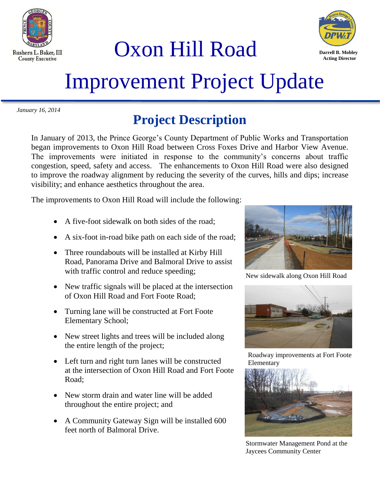

Oxon Hill Road



# Improvement Project Update

*January 16, 2014*

## **Project Description**

In January of 2013, the Prince George's County Department of Public Works and Transportation began improvements to Oxon Hill Road between Cross Foxes Drive and Harbor View Avenue. The improvements were initiated in response to the community's concerns about traffic congestion, speed, safety and access. The enhancements to Oxon Hill Road were also designed to improve the roadway alignment by reducing the severity of the curves, hills and dips; increase visibility; and enhance aesthetics throughout the area.

The improvements to Oxon Hill Road will include the following:

- A five-foot sidewalk on both sides of the road;
- A six-foot in-road bike path on each side of the road;
- Three roundabouts will be installed at Kirby Hill Road, Panorama Drive and Balmoral Drive to assist with traffic control and reduce speeding;
- New traffic signals will be placed at the intersection of Oxon Hill Road and Fort Foote Road;
- Turning lane will be constructed at Fort Foote Elementary School;
- New street lights and trees will be included along the entire length of the project;
- Left turn and right turn lanes will be constructed at the intersection of Oxon Hill Road and Fort Foote Road;
- New storm drain and water line will be added throughout the entire project; and
- A Community Gateway Sign will be installed 600 feet north of Balmoral Drive.



New sidewalk along Oxon Hill Road



Roadway improvements at Fort Foote Elementary



Stormwater Management Pond at the Jaycees Community Center